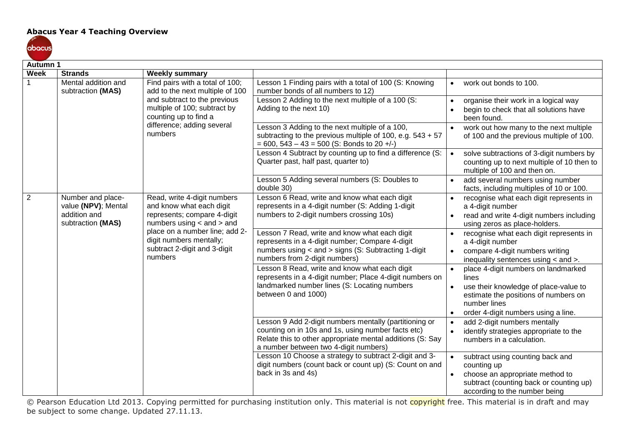## **Abacus Year 4 Teaching Overview**



| <b>Autumn 1</b> |                                          |                                                                                                                                                                      |                                                                                                                                                                                                                    |           |                                                                                                                        |
|-----------------|------------------------------------------|----------------------------------------------------------------------------------------------------------------------------------------------------------------------|--------------------------------------------------------------------------------------------------------------------------------------------------------------------------------------------------------------------|-----------|------------------------------------------------------------------------------------------------------------------------|
| <b>Week</b>     | <b>Strands</b>                           | <b>Weekly summary</b>                                                                                                                                                |                                                                                                                                                                                                                    |           |                                                                                                                        |
|                 | Mental addition and<br>subtraction (MAS) | Find pairs with a total of 100;<br>add to the next multiple of 100                                                                                                   | Lesson 1 Finding pairs with a total of 100 (S: Knowing<br>number bonds of all numbers to 12)                                                                                                                       | $\bullet$ | work out bonds to 100.                                                                                                 |
|                 |                                          | and subtract to the previous<br>multiple of 100; subtract by<br>counting up to find a                                                                                | Lesson 2 Adding to the next multiple of a 100 (S:<br>Adding to the next 10)                                                                                                                                        |           | organise their work in a logical way<br>begin to check that all solutions have<br>been found.                          |
|                 |                                          | difference; adding several<br>numbers                                                                                                                                | Lesson 3 Adding to the next multiple of a 100,<br>subtracting to the previous multiple of 100, e.g. $543 + 57$<br>$= 600, 543 - 43 = 500$ (S: Bonds to 20 +/-)                                                     |           | work out how many to the next multiple<br>of 100 and the previous multiple of 100.                                     |
|                 |                                          |                                                                                                                                                                      | Lesson 4 Subtract by counting up to find a difference (S:<br>Quarter past, half past, quarter to)                                                                                                                  | $\bullet$ | solve subtractions of 3-digit numbers by<br>counting up to next multiple of 10 then to<br>multiple of 100 and then on. |
|                 |                                          |                                                                                                                                                                      | Lesson 5 Adding several numbers (S: Doubles to<br>double 30)                                                                                                                                                       |           | add several numbers using number<br>facts, including multiples of 10 or 100.                                           |
| 2               | Number and place-<br>value (NPV); Mental | Read, write 4-digit numbers<br>and know what each digit                                                                                                              | Lesson 6 Read, write and know what each digit<br>represents in a 4-digit number (S: Adding 1-digit                                                                                                                 |           | recognise what each digit represents in<br>a 4-digit number                                                            |
|                 | addition and<br>subtraction (MAS)        | represents; compare 4-digit<br>numbers using $<$ and $>$ and<br>place on a number line; add 2-<br>digit numbers mentally;<br>subtract 2-digit and 3-digit<br>numbers | numbers to 2-digit numbers crossing 10s)                                                                                                                                                                           |           | read and write 4-digit numbers including<br>using zeros as place-holders.                                              |
|                 |                                          |                                                                                                                                                                      | Lesson 7 Read, write and know what each digit<br>represents in a 4-digit number; Compare 4-digit                                                                                                                   |           | recognise what each digit represents in<br>a 4-digit number                                                            |
|                 |                                          |                                                                                                                                                                      | numbers using < and > signs (S: Subtracting 1-digit<br>numbers from 2-digit numbers)                                                                                                                               | $\bullet$ | compare 4-digit numbers writing<br>inequality sentences using < and >.                                                 |
|                 |                                          |                                                                                                                                                                      | Lesson 8 Read, write and know what each digit<br>represents in a 4-digit number; Place 4-digit numbers on<br>landmarked number lines (S: Locating numbers<br>between 0 and 1000)                                   |           | place 4-digit numbers on landmarked<br>lines                                                                           |
|                 |                                          |                                                                                                                                                                      |                                                                                                                                                                                                                    |           | use their knowledge of place-value to<br>estimate the positions of numbers on<br>number lines                          |
|                 |                                          |                                                                                                                                                                      |                                                                                                                                                                                                                    |           | order 4-digit numbers using a line.                                                                                    |
|                 |                                          |                                                                                                                                                                      | Lesson 9 Add 2-digit numbers mentally (partitioning or<br>counting on in 10s and 1s, using number facts etc)<br>Relate this to other appropriate mental additions (S: Say<br>a number between two 4-digit numbers) | $\bullet$ | add 2-digit numbers mentally<br>identify strategies appropriate to the<br>numbers in a calculation.                    |
|                 |                                          |                                                                                                                                                                      | Lesson 10 Choose a strategy to subtract 2-digit and 3-<br>digit numbers (count back or count up) (S: Count on and<br>back in 3s and 4s)                                                                            |           | subtract using counting back and<br>counting up                                                                        |
|                 |                                          |                                                                                                                                                                      |                                                                                                                                                                                                                    |           | choose an appropriate method to<br>subtract (counting back or counting up)<br>according to the number being            |

© Pearson Education Ltd 2013. Copying permitted for purchasing institution only. This material is not copyright free. This material is in draft and may be subject to some change. Updated 27.11.13.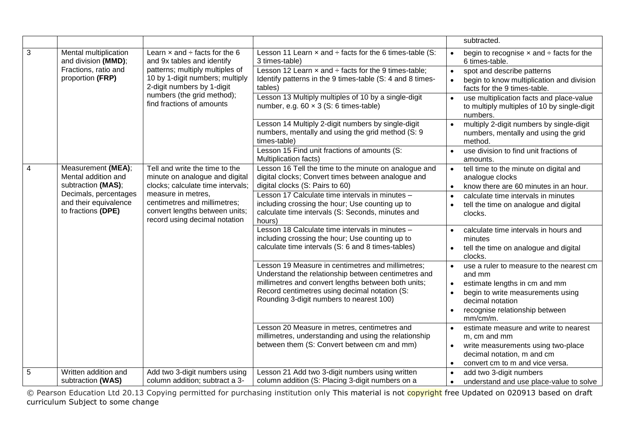|            |                                              |                                                                         |                                                                                                                          |           | subtracted.                                                                                         |
|------------|----------------------------------------------|-------------------------------------------------------------------------|--------------------------------------------------------------------------------------------------------------------------|-----------|-----------------------------------------------------------------------------------------------------|
| 3          | Mental multiplication<br>and division (MMD); | Learn $\times$ and $\div$ facts for the 6<br>and 9x tables and identify | Lesson 11 Learn $x$ and $\div$ facts for the 6 times-table (S:<br>3 times-table)                                         |           | begin to recognise $\times$ and $\div$ facts for the<br>6 times-table.                              |
|            | Fractions, ratio and                         | patterns; multiply multiples of                                         | Lesson 12 Learn $\times$ and $\div$ facts for the 9 times-table;                                                         | $\bullet$ | spot and describe patterns                                                                          |
|            | proportion (FRP)                             | 10 by 1-digit numbers; multiply<br>2-digit numbers by 1-digit           | Identify patterns in the 9 times-table (S: 4 and 8 times-<br>tables)                                                     |           | begin to know multiplication and division<br>facts for the 9 times-table.                           |
|            |                                              | numbers (the grid method);<br>find fractions of amounts                 | Lesson 13 Multiply multiples of 10 by a single-digit<br>number, e.g. $60 \times 3$ (S: 6 times-table)                    |           | use multiplication facts and place-value<br>to multiply multiples of 10 by single-digit<br>numbers. |
|            |                                              |                                                                         | Lesson 14 Multiply 2-digit numbers by single-digit<br>numbers, mentally and using the grid method (S: 9)<br>times-table) | $\bullet$ | multiply 2-digit numbers by single-digit<br>numbers, mentally and using the grid<br>method.         |
|            |                                              |                                                                         | Lesson 15 Find unit fractions of amounts (S:<br>Multiplication facts)                                                    |           | use division to find unit fractions of<br>amounts.                                                  |
| 4          | Measurement (MEA);<br>Mental addition and    | Tell and write the time to the<br>minute on analogue and digital        | Lesson 16 Tell the time to the minute on analogue and<br>digital clocks; Convert times between analogue and              |           | tell time to the minute on digital and<br>analogue clocks                                           |
|            | subtraction (MAS);<br>Decimals, percentages  | clocks; calculate time intervals;<br>measure in metres,                 | digital clocks (S: Pairs to 60)<br>Lesson 17 Calculate time intervals in minutes -                                       | $\bullet$ | know there are 60 minutes in an hour.                                                               |
|            | and their equivalence                        | centimetres and millimetres;                                            | including crossing the hour; Use counting up to                                                                          |           | calculate time intervals in minutes<br>tell the time on analogue and digital                        |
|            | to fractions (DPE)                           | convert lengths between units;<br>record using decimal notation         | calculate time intervals (S: Seconds, minutes and<br>hours)                                                              |           | clocks.                                                                                             |
|            |                                              |                                                                         | Lesson 18 Calculate time intervals in minutes -                                                                          | $\bullet$ | calculate time intervals in hours and                                                               |
|            |                                              |                                                                         | including crossing the hour; Use counting up to<br>calculate time intervals (S: 6 and 8 times-tables)                    | $\bullet$ | minutes<br>tell the time on analogue and digital                                                    |
|            |                                              |                                                                         |                                                                                                                          |           | clocks.                                                                                             |
|            |                                              |                                                                         | Lesson 19 Measure in centimetres and millimetres;                                                                        | $\bullet$ | use a ruler to measure to the nearest cm                                                            |
|            |                                              |                                                                         | Understand the relationship between centimetres and<br>millimetres and convert lengths between both units;               | $\bullet$ | and mm<br>estimate lengths in cm and mm                                                             |
|            |                                              |                                                                         | Record centimetres using decimal notation (S:                                                                            |           | begin to write measurements using                                                                   |
|            |                                              |                                                                         | Rounding 3-digit numbers to nearest 100)                                                                                 |           | decimal notation                                                                                    |
|            |                                              |                                                                         |                                                                                                                          |           | recognise relationship between                                                                      |
|            |                                              |                                                                         | Lesson 20 Measure in metres, centimetres and                                                                             |           | mm/cm/m.<br>estimate measure and write to nearest                                                   |
|            |                                              |                                                                         | millimetres, understanding and using the relationship                                                                    |           | m, cm and mm                                                                                        |
|            |                                              |                                                                         | between them (S: Convert between cm and mm)                                                                              |           | write measurements using two-place                                                                  |
|            |                                              |                                                                         |                                                                                                                          |           | decimal notation, m and cm                                                                          |
|            |                                              |                                                                         |                                                                                                                          | $\bullet$ | convert cm to m and vice versa.                                                                     |
| $\sqrt{5}$ | Written addition and                         | Add two 3-digit numbers using<br>column addition; subtract a 3-         | Lesson 21 Add two 3-digit numbers using written<br>column addition (S: Placing 3-digit numbers on a                      |           | add two 3-digit numbers                                                                             |
|            | subtraction (WAS)                            |                                                                         |                                                                                                                          | $\bullet$ | understand and use place-value to solve                                                             |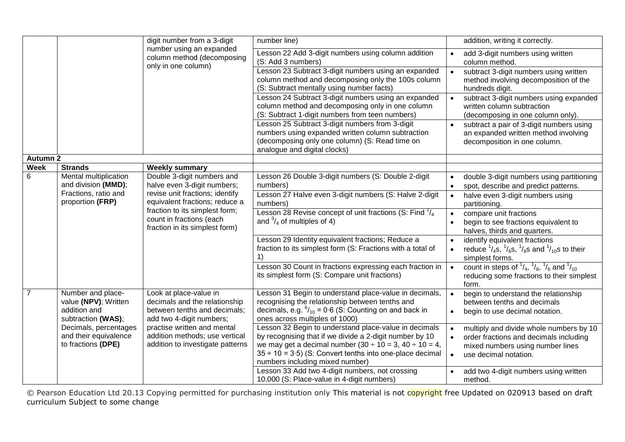|                 |                                                                                 | digit number from a 3-digit                                                                                         | number line)                                                                                                                                                                                                                                                                            |           | addition, writing it correctly.                                                                                                                |
|-----------------|---------------------------------------------------------------------------------|---------------------------------------------------------------------------------------------------------------------|-----------------------------------------------------------------------------------------------------------------------------------------------------------------------------------------------------------------------------------------------------------------------------------------|-----------|------------------------------------------------------------------------------------------------------------------------------------------------|
|                 |                                                                                 | number using an expanded<br>column method (decomposing<br>only in one column)                                       | Lesson 22 Add 3-digit numbers using column addition<br>(S: Add 3 numbers)                                                                                                                                                                                                               |           | add 3-digit numbers using written<br>column method.                                                                                            |
|                 |                                                                                 |                                                                                                                     | Lesson 23 Subtract 3-digit numbers using an expanded<br>column method and decomposing only the 100s column<br>(S: Subtract mentally using number facts)                                                                                                                                 |           | subtract 3-digit numbers using written<br>method involving decomposition of the<br>hundreds digit.                                             |
|                 |                                                                                 |                                                                                                                     | Lesson 24 Subtract 3-digit numbers using an expanded<br>column method and decomposing only in one column<br>(S: Subtract 1-digit numbers from teen numbers)                                                                                                                             |           | subtract 3-digit numbers using expanded<br>written column subtraction<br>(decomposing in one column only).                                     |
|                 |                                                                                 |                                                                                                                     | Lesson 25 Subtract 3-digit numbers from 3-digit<br>numbers using expanded written column subtraction<br>(decomposing only one column) (S: Read time on<br>analogue and digital clocks)                                                                                                  |           | subtract a pair of 3-digit numbers using<br>an expanded written method involving<br>decomposition in one column.                               |
| <b>Autumn 2</b> |                                                                                 |                                                                                                                     |                                                                                                                                                                                                                                                                                         |           |                                                                                                                                                |
| Week            | <b>Strands</b>                                                                  | <b>Weekly summary</b>                                                                                               |                                                                                                                                                                                                                                                                                         |           |                                                                                                                                                |
| 6               | Mental multiplication<br>and division (MMD);                                    | Double 3-digit numbers and<br>halve even 3-digit numbers;                                                           | Lesson 26 Double 3-digit numbers (S: Double 2-digit<br>numbers)                                                                                                                                                                                                                         | $\bullet$ | double 3-digit numbers using partitioning<br>spot, describe and predict patterns.                                                              |
|                 | Fractions, ratio and<br>proportion (FRP)                                        | revise unit fractions; identify<br>equivalent fractions; reduce a                                                   | Lesson 27 Halve even 3-digit numbers (S: Halve 2-digit<br>numbers)                                                                                                                                                                                                                      | $\bullet$ | halve even 3-digit numbers using<br>partitioning.                                                                                              |
|                 |                                                                                 | fraction to its simplest form;<br>count in fractions (each<br>fraction in its simplest form)                        | Lesson 28 Revise concept of unit fractions (S: Find $\frac{1}{4}$<br>and $\frac{3}{4}$ of multiples of 4)                                                                                                                                                                               |           | compare unit fractions<br>begin to see fractions equivalent to<br>halves, thirds and quarters.                                                 |
|                 |                                                                                 |                                                                                                                     | Lesson 29 Identity equivalent fractions; Reduce a<br>fraction to its simplest form (S: Fractions with a total of                                                                                                                                                                        |           | identify equivalent fractions<br>reduce $\frac{1}{4}$ s, $\frac{1}{6}$ s, $\frac{1}{8}$ s and $\frac{1}{10}$ s to their<br>simplest forms.     |
|                 |                                                                                 |                                                                                                                     | Lesson 30 Count in fractions expressing each fraction in<br>its simplest form (S: Compare unit fractions)                                                                                                                                                                               |           | count in steps of $\frac{1}{4}$ , $\frac{1}{8}$ , $\frac{1}{6}$ and $\frac{1}{10}$<br>reducing some fractions to their simplest<br>form.       |
|                 | Number and place-<br>value (NPV); Written<br>addition and<br>subtraction (WAS); | Look at place-value in<br>decimals and the relationship<br>between tenths and decimals;<br>add two 4-digit numbers; | Lesson 31 Begin to understand place-value in decimals,<br>recognising the relationship between tenths and<br>decimals, e.g. $^{6}/_{10}$ = 0.6 (S: Counting on and back in<br>ones across multiples of 1000)                                                                            |           | begin to understand the relationship<br>between tenths and decimals<br>begin to use decimal notation.                                          |
|                 | Decimals, percentages<br>and their equivalence<br>to fractions (DPE)            | practise written and mental<br>addition methods; use vertical<br>addition to investigate patterns                   | Lesson 32 Begin to understand place-value in decimals<br>by recognising that if we divide a 2-digit number by 10<br>we may get a decimal number $(30 \div 10 = 3, 40 \div 10 = 4,$<br>$35 \div 10 = 3.5$ ) (S: Convert tenths into one-place decimal<br>numbers including mixed number) |           | multiply and divide whole numbers by 10<br>order fractions and decimals including<br>mixed numbers using number lines<br>use decimal notation. |
|                 |                                                                                 |                                                                                                                     | Lesson 33 Add two 4-digit numbers, not crossing<br>10,000 (S: Place-value in 4-digit numbers)                                                                                                                                                                                           |           | add two 4-digit numbers using written<br>method.                                                                                               |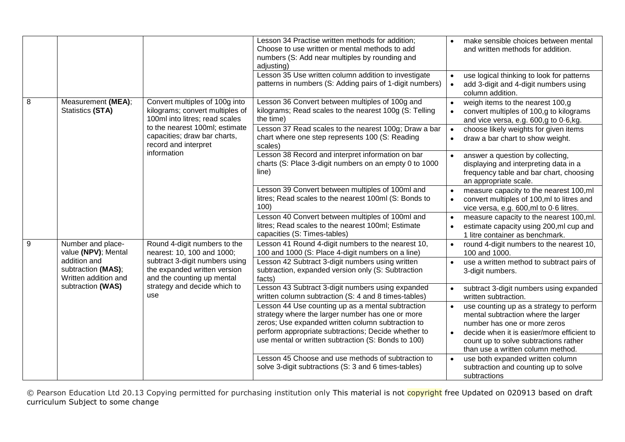|                  |                                                            |                                                                                                       | Lesson 34 Practise written methods for addition;<br>Choose to use written or mental methods to add<br>numbers (S: Add near multiples by rounding and<br>adjusting)<br>Lesson 35 Use written column addition to investigate                                               | make sensible choices between mental<br>and written methods for addition.                                                                                                                                           |
|------------------|------------------------------------------------------------|-------------------------------------------------------------------------------------------------------|--------------------------------------------------------------------------------------------------------------------------------------------------------------------------------------------------------------------------------------------------------------------------|---------------------------------------------------------------------------------------------------------------------------------------------------------------------------------------------------------------------|
|                  |                                                            |                                                                                                       | patterns in numbers (S: Adding pairs of 1-digit numbers)                                                                                                                                                                                                                 | use logical thinking to look for patterns<br>$\bullet$<br>add 3-digit and 4-digit numbers using<br>$\bullet$<br>column addition.                                                                                    |
| 8                | Measurement (MEA);<br><b>Statistics (STA)</b>              | Convert multiples of 100g into<br>kilograms; convert multiples of<br>100ml into litres; read scales   | Lesson 36 Convert between multiples of 100g and<br>kilograms; Read scales to the nearest 100g (S: Telling<br>the time)                                                                                                                                                   | weigh items to the nearest 100,g<br>convert multiples of 100,g to kilograms<br>$\bullet$<br>and vice versa, e.g. 600,g to 0.6,kg.                                                                                   |
|                  |                                                            | to the nearest 100ml; estimate<br>capacities; draw bar charts,<br>record and interpret<br>information | Lesson 37 Read scales to the nearest 100g; Draw a bar<br>chart where one step represents 100 (S: Reading<br>scales)                                                                                                                                                      | choose likely weights for given items<br>$\bullet$<br>draw a bar chart to show weight.<br>$\bullet$                                                                                                                 |
|                  |                                                            |                                                                                                       | Lesson 38 Record and interpret information on bar<br>charts (S: Place 3-digit numbers on an empty 0 to 1000<br>line)                                                                                                                                                     | answer a question by collecting,<br>displaying and interpreting data in a<br>frequency table and bar chart, choosing<br>an appropriate scale.                                                                       |
|                  |                                                            |                                                                                                       | Lesson 39 Convert between multiples of 100ml and<br>litres; Read scales to the nearest 100ml (S: Bonds to<br>100)                                                                                                                                                        | measure capacity to the nearest 100,ml<br>convert multiples of 100,ml to litres and<br>$\bullet$<br>vice versa, e.g. 600, ml to 0.6 litres.                                                                         |
|                  |                                                            |                                                                                                       | Lesson 40 Convert between multiples of 100ml and<br>litres; Read scales to the nearest 100ml; Estimate<br>capacities (S: Times-tables)                                                                                                                                   | measure capacity to the nearest 100,ml.<br>estimate capacity using 200,ml cup and<br>$\bullet$<br>1 litre container as benchmark.                                                                                   |
| $\boldsymbol{9}$ | Number and place-<br>value (NPV); Mental                   | Round 4-digit numbers to the<br>nearest: 10, 100 and 1000;                                            | Lesson 41 Round 4-digit numbers to the nearest 10,<br>100 and 1000 (S: Place 4-digit numbers on a line)                                                                                                                                                                  | round 4-digit numbers to the nearest 10,<br>$\bullet$<br>100 and 1000.                                                                                                                                              |
|                  | addition and<br>subtraction (MAS);<br>Written addition and | subtract 3-digit numbers using<br>the expanded written version<br>and the counting up mental          | Lesson 42 Subtract 3-digit numbers using written<br>subtraction, expanded version only (S: Subtraction<br>facts)                                                                                                                                                         | use a written method to subtract pairs of<br>3-digit numbers.                                                                                                                                                       |
|                  | subtraction (WAS)                                          | strategy and decide which to<br>use                                                                   | Lesson 43 Subtract 3-digit numbers using expanded<br>written column subtraction (S: 4 and 8 times-tables)                                                                                                                                                                | subtract 3-digit numbers using expanded<br>$\bullet$<br>written subtraction.                                                                                                                                        |
|                  |                                                            |                                                                                                       | Lesson 44 Use counting up as a mental subtraction<br>strategy where the larger number has one or more<br>zeros; Use expanded written column subtraction to<br>perform appropriate subtractions; Decide whether to<br>use mental or written subtraction (S: Bonds to 100) | use counting up as a strategy to perform<br>mental subtraction where the larger<br>number has one or more zeros<br>decide when it is easier/more efficient to<br>$\bullet$<br>count up to solve subtractions rather |
|                  |                                                            |                                                                                                       | Lesson 45 Choose and use methods of subtraction to<br>solve 3-digit subtractions (S: 3 and 6 times-tables)                                                                                                                                                               | than use a written column method.<br>use both expanded written column<br>$\bullet$<br>subtraction and counting up to solve<br>subtractions                                                                          |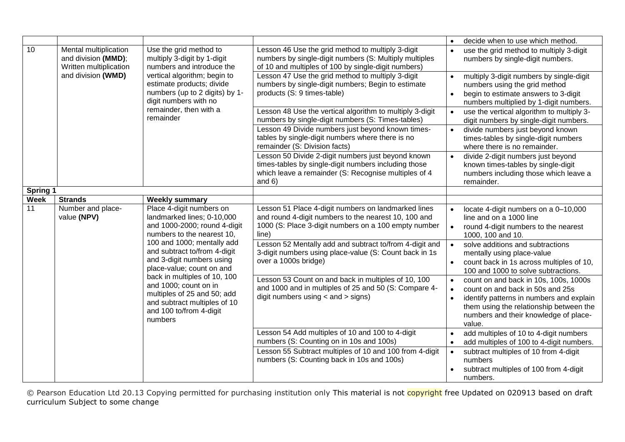|                 |                                                                        |                                                                                                                                                                                                                                                                                    |                                                                                                                                                                                | decide when to use which method.<br>$\bullet$                                                                                                                                                                                                 |
|-----------------|------------------------------------------------------------------------|------------------------------------------------------------------------------------------------------------------------------------------------------------------------------------------------------------------------------------------------------------------------------------|--------------------------------------------------------------------------------------------------------------------------------------------------------------------------------|-----------------------------------------------------------------------------------------------------------------------------------------------------------------------------------------------------------------------------------------------|
| 10              | Mental multiplication<br>and division (MMD);<br>Written multiplication | Use the grid method to<br>multiply 3-digit by 1-digit<br>numbers and introduce the                                                                                                                                                                                                 | Lesson 46 Use the grid method to multiply 3-digit<br>numbers by single-digit numbers (S: Multiply multiples<br>of 10 and multiples of 100 by single-digit numbers)             | use the grid method to multiply 3-digit<br>numbers by single-digit numbers.                                                                                                                                                                   |
|                 | and division (WMD)                                                     | vertical algorithm; begin to<br>estimate products; divide<br>numbers (up to 2 digits) by 1-<br>digit numbers with no                                                                                                                                                               | Lesson 47 Use the grid method to multiply 3-digit<br>numbers by single-digit numbers; Begin to estimate<br>products (S: 9 times-table)                                         | multiply 3-digit numbers by single-digit<br>$\bullet$<br>numbers using the grid method<br>begin to estimate answers to 3-digit<br>$\bullet$<br>numbers multiplied by 1-digit numbers.                                                         |
|                 |                                                                        | remainder, then with a<br>remainder                                                                                                                                                                                                                                                | Lesson 48 Use the vertical algorithm to multiply 3-digit<br>numbers by single-digit numbers (S: Times-tables)                                                                  | use the vertical algorithm to multiply 3-<br>digit numbers by single-digit numbers.                                                                                                                                                           |
|                 |                                                                        |                                                                                                                                                                                                                                                                                    | Lesson 49 Divide numbers just beyond known times-<br>tables by single-digit numbers where there is no<br>remainder (S: Division facts)                                         | divide numbers just beyond known<br>$\bullet$<br>times-tables by single-digit numbers<br>where there is no remainder.                                                                                                                         |
|                 |                                                                        |                                                                                                                                                                                                                                                                                    | Lesson 50 Divide 2-digit numbers just beyond known<br>times-tables by single-digit numbers including those<br>which leave a remainder (S: Recognise multiples of 4<br>and $6)$ | divide 2-digit numbers just beyond<br>known times-tables by single-digit<br>numbers including those which leave a<br>remainder.                                                                                                               |
| <b>Spring 1</b> |                                                                        |                                                                                                                                                                                                                                                                                    |                                                                                                                                                                                |                                                                                                                                                                                                                                               |
| <b>Week</b>     | <b>Strands</b>                                                         | <b>Weekly summary</b>                                                                                                                                                                                                                                                              |                                                                                                                                                                                |                                                                                                                                                                                                                                               |
| 11              | Number and place-<br>value (NPV)                                       | Place 4-digit numbers on<br>landmarked lines; 0-10,000<br>and 1000-2000; round 4-digit<br>numbers to the nearest 10,                                                                                                                                                               | Lesson 51 Place 4-digit numbers on landmarked lines<br>and round 4-digit numbers to the nearest 10, 100 and<br>1000 (S: Place 3-digit numbers on a 100 empty number<br>line)   | locate 4-digit numbers on a 0-10,000<br>line and on a 1000 line<br>round 4-digit numbers to the nearest<br>$\bullet$<br>1000, 100 and 10.                                                                                                     |
|                 |                                                                        | 100 and 1000; mentally add<br>and subtract to/from 4-digit<br>and 3-digit numbers using<br>place-value; count on and<br>back in multiples of 10, 100<br>and 1000; count on in<br>multiples of 25 and 50; add<br>and subtract multiples of 10<br>and 100 to/from 4-digit<br>numbers | Lesson 52 Mentally add and subtract to/from 4-digit and<br>3-digit numbers using place-value (S: Count back in 1s<br>over a 1000s bridge)                                      | solve additions and subtractions<br>$\bullet$<br>mentally using place-value<br>count back in 1s across multiples of 10,<br>$\bullet$<br>100 and 1000 to solve subtractions.                                                                   |
|                 |                                                                        |                                                                                                                                                                                                                                                                                    | Lesson 53 Count on and back in multiples of 10, 100<br>and 1000 and in multiples of 25 and 50 (S: Compare 4-<br>digit numbers using $\lt$ and $\gt$ signs)                     | count on and back in 10s, 100s, 1000s<br>$\bullet$<br>count on and back in 50s and 25s<br>$\bullet$<br>identify patterns in numbers and explain<br>them using the relationship between the<br>numbers and their knowledge of place-<br>value. |
|                 |                                                                        |                                                                                                                                                                                                                                                                                    | Lesson 54 Add multiples of 10 and 100 to 4-digit<br>numbers (S: Counting on in 10s and 100s)                                                                                   | add multiples of 10 to 4-digit numbers<br>add multiples of 100 to 4-digit numbers.                                                                                                                                                            |
|                 |                                                                        |                                                                                                                                                                                                                                                                                    | Lesson 55 Subtract multiples of 10 and 100 from 4-digit<br>numbers (S: Counting back in 10s and 100s)                                                                          | subtract multiples of 10 from 4-digit<br>numbers<br>subtract multiples of 100 from 4-digit<br>numbers.                                                                                                                                        |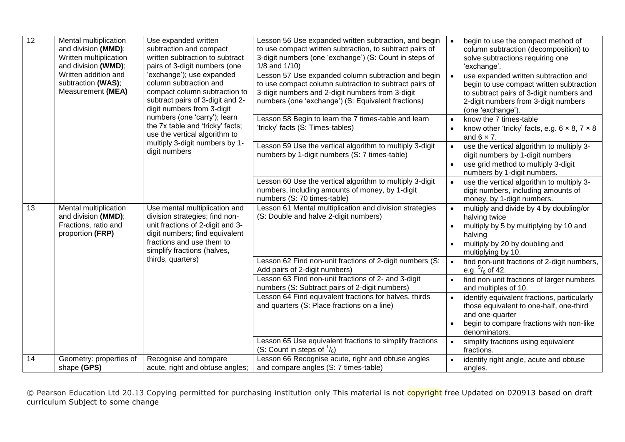| $\overline{12}$ | Mental multiplication<br>and division (MMD);<br>Written multiplication<br>and division (WMD);<br>Written addition and<br>subtraction (WAS);<br>Measurement (MEA) | Use expanded written<br>subtraction and compact<br>written subtraction to subtract<br>pairs of 3-digit numbers (one<br>'exchange'); use expanded<br>column subtraction and<br>compact column subtraction to<br>subtract pairs of 3-digit and 2-<br>digit numbers from 3-digit | Lesson 56 Use expanded written subtraction, and begin<br>to use compact written subtraction, to subtract pairs of<br>3-digit numbers (one 'exchange') (S: Count in steps of<br>$1/8$ and $1/10$ )<br>Lesson 57 Use expanded column subtraction and begin<br>to use compact column subtraction to subtract pairs of<br>3-digit numbers and 2-digit numbers from 3-digit<br>numbers (one 'exchange') (S: Equivalent fractions) | $\bullet$<br>$\bullet$ | begin to use the compact method of<br>column subtraction (decomposition) to<br>solve subtractions requiring one<br>'exchange'.<br>use expanded written subtraction and<br>begin to use compact written subtraction<br>to subtract pairs of 3-digit numbers and<br>2-digit numbers from 3-digit numbers<br>(one 'exchange'). |
|-----------------|------------------------------------------------------------------------------------------------------------------------------------------------------------------|-------------------------------------------------------------------------------------------------------------------------------------------------------------------------------------------------------------------------------------------------------------------------------|------------------------------------------------------------------------------------------------------------------------------------------------------------------------------------------------------------------------------------------------------------------------------------------------------------------------------------------------------------------------------------------------------------------------------|------------------------|-----------------------------------------------------------------------------------------------------------------------------------------------------------------------------------------------------------------------------------------------------------------------------------------------------------------------------|
|                 |                                                                                                                                                                  | numbers (one 'carry'); learn<br>the 7x table and 'tricky' facts;<br>use the vertical algorithm to                                                                                                                                                                             | Lesson 58 Begin to learn the 7 times-table and learn<br>'tricky' facts (S: Times-tables)                                                                                                                                                                                                                                                                                                                                     | $\bullet$              | know the 7 times-table<br>know other 'tricky' facts, e.g. $6 \times 8$ , $7 \times 8$<br>and $6 \times 7$ .                                                                                                                                                                                                                 |
|                 |                                                                                                                                                                  | multiply 3-digit numbers by 1-<br>digit numbers                                                                                                                                                                                                                               | Lesson 59 Use the vertical algorithm to multiply 3-digit<br>numbers by 1-digit numbers (S: 7 times-table)                                                                                                                                                                                                                                                                                                                    | $\bullet$              | use the vertical algorithm to multiply 3-<br>digit numbers by 1-digit numbers<br>use grid method to multiply 3-digit<br>numbers by 1-digit numbers.                                                                                                                                                                         |
|                 |                                                                                                                                                                  |                                                                                                                                                                                                                                                                               | Lesson 60 Use the vertical algorithm to multiply 3-digit<br>numbers, including amounts of money, by 1-digit<br>numbers (S: 70 times-table)                                                                                                                                                                                                                                                                                   | $\bullet$              | use the vertical algorithm to multiply 3-<br>digit numbers, including amounts of<br>money, by 1-digit numbers.                                                                                                                                                                                                              |
| 13              | Mental multiplication<br>and division (MMD);<br>Fractions, ratio and<br>proportion (FRP)                                                                         | Use mental multiplication and<br>division strategies; find non-<br>unit fractions of 2-digit and 3-<br>digit numbers; find equivalent<br>fractions and use them to<br>simplify fractions (halves,                                                                             | Lesson 61 Mental multiplication and division strategies<br>(S: Double and halve 2-digit numbers)                                                                                                                                                                                                                                                                                                                             |                        | multiply and divide by 4 by doubling/or<br>halving twice<br>multiply by 5 by multiplying by 10 and<br>halving<br>multiply by 20 by doubling and<br>multiplying by 10.                                                                                                                                                       |
|                 |                                                                                                                                                                  | thirds, quarters)                                                                                                                                                                                                                                                             | Lesson 62 Find non-unit fractions of 2-digit numbers (S:<br>Add pairs of 2-digit numbers)                                                                                                                                                                                                                                                                                                                                    |                        | find non-unit fractions of 2-digit numbers,<br>e.g. $\frac{5}{6}$ of 42.                                                                                                                                                                                                                                                    |
|                 |                                                                                                                                                                  |                                                                                                                                                                                                                                                                               | Lesson 63 Find non-unit fractions of 2- and 3-digit<br>numbers (S: Subtract pairs of 2-digit numbers)                                                                                                                                                                                                                                                                                                                        |                        | find non-unit fractions of larger numbers<br>and multiples of 10.                                                                                                                                                                                                                                                           |
|                 |                                                                                                                                                                  |                                                                                                                                                                                                                                                                               | Lesson 64 Find equivalent fractions for halves, thirds<br>and quarters (S: Place fractions on a line)                                                                                                                                                                                                                                                                                                                        |                        | identify equivalent fractions, particularly<br>those equivalent to one-half, one-third<br>and one-quarter<br>begin to compare fractions with non-like<br>denominators.                                                                                                                                                      |
|                 |                                                                                                                                                                  |                                                                                                                                                                                                                                                                               | Lesson 65 Use equivalent fractions to simplify fractions<br>(S: Count in steps of $\frac{1}{6}$ )                                                                                                                                                                                                                                                                                                                            |                        | simplify fractions using equivalent<br>fractions.                                                                                                                                                                                                                                                                           |
| 14              | Geometry: properties of<br>shape (GPS)                                                                                                                           | Recognise and compare<br>acute, right and obtuse angles;                                                                                                                                                                                                                      | Lesson 66 Recognise acute, right and obtuse angles<br>and compare angles (S: 7 times-table)                                                                                                                                                                                                                                                                                                                                  |                        | identify right angle, acute and obtuse<br>angles.                                                                                                                                                                                                                                                                           |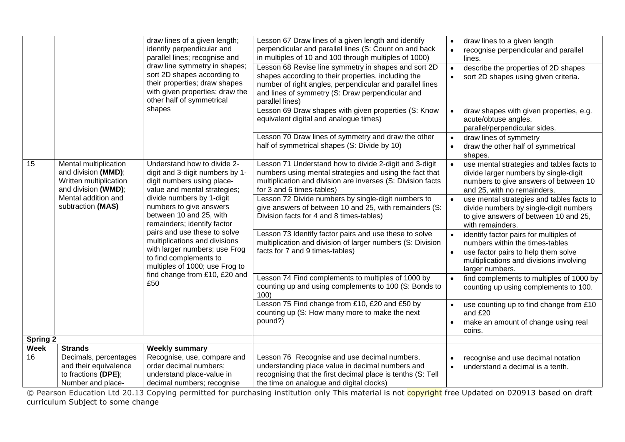|                 |                                                                                               | draw lines of a given length;<br>identify perpendicular and<br>parallel lines; recognise and<br>draw line symmetry in shapes;                              | Lesson 67 Draw lines of a given length and identify<br>perpendicular and parallel lines (S: Count on and back<br>in multiples of 10 and 100 through multiples of 1000)<br>Lesson 68 Revise line symmetry in shapes and sort 2D | draw lines to a given length<br>$\bullet$<br>recognise perpendicular and parallel<br>$\bullet$<br>lines.                                                                       |
|-----------------|-----------------------------------------------------------------------------------------------|------------------------------------------------------------------------------------------------------------------------------------------------------------|--------------------------------------------------------------------------------------------------------------------------------------------------------------------------------------------------------------------------------|--------------------------------------------------------------------------------------------------------------------------------------------------------------------------------|
|                 |                                                                                               | sort 2D shapes according to<br>their properties; draw shapes<br>with given properties; draw the<br>other half of symmetrical                               | shapes according to their properties, including the<br>number of right angles, perpendicular and parallel lines<br>and lines of symmetry (S: Draw perpendicular and<br>parallel lines)                                         | describe the properties of 2D shapes<br>$\bullet$<br>sort 2D shapes using given criteria.                                                                                      |
|                 |                                                                                               | shapes                                                                                                                                                     | Lesson 69 Draw shapes with given properties (S: Know<br>equivalent digital and analogue times)                                                                                                                                 | draw shapes with given properties, e.g.<br>$\bullet$<br>acute/obtuse angles,<br>parallel/perpendicular sides.                                                                  |
|                 |                                                                                               |                                                                                                                                                            | Lesson 70 Draw lines of symmetry and draw the other<br>half of symmetrical shapes (S: Divide by 10)                                                                                                                            | draw lines of symmetry<br>$\bullet$<br>draw the other half of symmetrical<br>$\bullet$<br>shapes.                                                                              |
| 15              | Mental multiplication<br>and division (MMD);<br>Written multiplication<br>and division (WMD); | Understand how to divide 2-<br>digit and 3-digit numbers by 1-<br>digit numbers using place-<br>value and mental strategies;                               | Lesson 71 Understand how to divide 2-digit and 3-digit<br>numbers using mental strategies and using the fact that<br>multiplication and division are inverses (S: Division facts<br>for 3 and 6 times-tables)                  | use mental strategies and tables facts to<br>$\bullet$<br>divide larger numbers by single-digit<br>numbers to give answers of between 10<br>and 25, with no remainders.        |
|                 | Mental addition and<br>subtraction (MAS)                                                      | divide numbers by 1-digit<br>numbers to give answers<br>between 10 and 25, with<br>remainders; identify factor                                             | Lesson 72 Divide numbers by single-digit numbers to<br>give answers of between 10 and 25, with remainders (S:<br>Division facts for 4 and 8 times-tables)                                                                      | use mental strategies and tables facts to<br>$\bullet$<br>divide numbers by single-digit numbers<br>to give answers of between 10 and 25,<br>with remainders.                  |
|                 |                                                                                               | pairs and use these to solve<br>multiplications and divisions<br>with larger numbers; use Frog<br>to find complements to<br>multiples of 1000; use Frog to | Lesson 73 Identify factor pairs and use these to solve<br>multiplication and division of larger numbers (S: Division<br>facts for 7 and 9 times-tables)                                                                        | identify factor pairs for multiples of<br>numbers within the times-tables<br>use factor pairs to help them solve<br>multiplications and divisions involving<br>larger numbers. |
|                 |                                                                                               | find change from £10, £20 and<br>£50                                                                                                                       | Lesson 74 Find complements to multiples of 1000 by<br>counting up and using complements to 100 (S: Bonds to<br>100)                                                                                                            | find complements to multiples of 1000 by<br>$\bullet$<br>counting up using complements to 100.                                                                                 |
|                 |                                                                                               |                                                                                                                                                            | Lesson 75 Find change from £10, £20 and £50 by<br>counting up (S: How many more to make the next<br>pound?)                                                                                                                    | use counting up to find change from £10<br>and £20<br>make an amount of change using real<br>coins.                                                                            |
| <b>Spring 2</b> |                                                                                               |                                                                                                                                                            |                                                                                                                                                                                                                                |                                                                                                                                                                                |
| <b>Week</b>     | <b>Strands</b>                                                                                | <b>Weekly summary</b>                                                                                                                                      |                                                                                                                                                                                                                                |                                                                                                                                                                                |
| 16              | Decimals, percentages<br>and their equivalence<br>to fractions (DPE);                         | Recognise, use, compare and<br>order decimal numbers;<br>understand place-value in                                                                         | Lesson 76 Recognise and use decimal numbers,<br>understanding place value in decimal numbers and<br>recognising that the first decimal place is tenths (S: Tell                                                                | recognise and use decimal notation<br>understand a decimal is a tenth.                                                                                                         |
|                 | Number and place-                                                                             | decimal numbers; recognise                                                                                                                                 | the time on analogue and digital clocks)                                                                                                                                                                                       |                                                                                                                                                                                |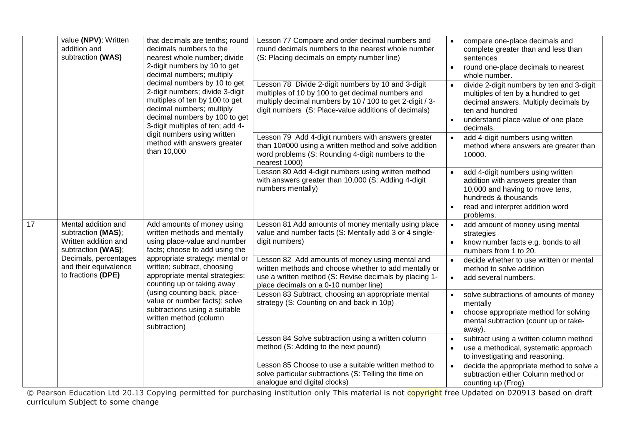|    | value (NPV); Written<br>addition and<br>subtraction (WAS)                               | that decimals are tenths; round<br>decimals numbers to the<br>nearest whole number; divide<br>2-digit numbers by 10 to get<br>decimal numbers; multiply<br>decimal numbers by 10 to get<br>2-digit numbers; divide 3-digit<br>multiples of ten by 100 to get<br>decimal numbers; multiply<br>decimal numbers by 100 to get<br>3-digit multiples of ten; add 4-<br>digit numbers using written<br>method with answers greater<br>than 10,000 | Lesson 77 Compare and order decimal numbers and<br>round decimals numbers to the nearest whole number<br>(S: Placing decimals on empty number line)<br>Lesson 78 Divide 2-digit numbers by 10 and 3-digit<br>multiples of 10 by 100 to get decimal numbers and<br>multiply decimal numbers by 10 / 100 to get 2-digit / 3-<br>digit numbers (S: Place-value additions of decimals) | $\bullet$<br>$\bullet$<br>$\bullet$ | compare one-place decimals and<br>complete greater than and less than<br>sentences<br>round one-place decimals to nearest<br>whole number.<br>divide 2-digit numbers by ten and 3-digit<br>multiples of ten by a hundred to get<br>decimal answers. Multiply decimals by<br>ten and hundred<br>understand place-value of one place<br>decimals. |
|----|-----------------------------------------------------------------------------------------|---------------------------------------------------------------------------------------------------------------------------------------------------------------------------------------------------------------------------------------------------------------------------------------------------------------------------------------------------------------------------------------------------------------------------------------------|------------------------------------------------------------------------------------------------------------------------------------------------------------------------------------------------------------------------------------------------------------------------------------------------------------------------------------------------------------------------------------|-------------------------------------|-------------------------------------------------------------------------------------------------------------------------------------------------------------------------------------------------------------------------------------------------------------------------------------------------------------------------------------------------|
|    |                                                                                         |                                                                                                                                                                                                                                                                                                                                                                                                                                             | Lesson 79 Add 4-digit numbers with answers greater<br>than 10#000 using a written method and solve addition<br>word problems (S: Rounding 4-digit numbers to the<br>nearest 1000)                                                                                                                                                                                                  | $\bullet$                           | add 4-digit numbers using written<br>method where answers are greater than<br>10000.                                                                                                                                                                                                                                                            |
|    |                                                                                         |                                                                                                                                                                                                                                                                                                                                                                                                                                             | Lesson 80 Add 4-digit numbers using written method<br>with answers greater than 10,000 (S: Adding 4-digit<br>numbers mentally)                                                                                                                                                                                                                                                     |                                     | add 4-digit numbers using written<br>addition with answers greater than<br>10,000 and having to move tens,<br>hundreds & thousands<br>read and interpret addition word<br>problems.                                                                                                                                                             |
| 17 | Mental addition and<br>subtraction (MAS);<br>Written addition and<br>subtraction (WAS); | Add amounts of money using<br>written methods and mentally<br>using place-value and number<br>facts; choose to add using the                                                                                                                                                                                                                                                                                                                | Lesson 81 Add amounts of money mentally using place<br>value and number facts (S: Mentally add 3 or 4 single-<br>digit numbers)                                                                                                                                                                                                                                                    | $\bullet$<br>$\bullet$              | add amount of money using mental<br>strategies<br>know number facts e.g. bonds to all<br>numbers from 1 to 20.                                                                                                                                                                                                                                  |
|    | Decimals, percentages<br>and their equivalence<br>to fractions (DPE)                    | appropriate strategy: mental or<br>written; subtract, choosing<br>appropriate mental strategies:<br>counting up or taking away<br>(using counting back, place-<br>value or number facts); solve<br>subtractions using a suitable<br>written method (column<br>subtraction)                                                                                                                                                                  | Lesson 82 Add amounts of money using mental and<br>written methods and choose whether to add mentally or<br>use a written method (S: Revise decimals by placing 1-<br>place decimals on a 0-10 number line)                                                                                                                                                                        | $\bullet$                           | decide whether to use written or mental<br>method to solve addition<br>add several numbers.                                                                                                                                                                                                                                                     |
|    |                                                                                         |                                                                                                                                                                                                                                                                                                                                                                                                                                             | Lesson 83 Subtract, choosing an appropriate mental<br>strategy (S: Counting on and back in 10p)                                                                                                                                                                                                                                                                                    |                                     | solve subtractions of amounts of money<br>mentally<br>choose appropriate method for solving<br>mental subtraction (count up or take-<br>away).                                                                                                                                                                                                  |
|    |                                                                                         |                                                                                                                                                                                                                                                                                                                                                                                                                                             | Lesson 84 Solve subtraction using a written column<br>method (S: Adding to the next pound)                                                                                                                                                                                                                                                                                         |                                     | subtract using a written column method<br>use a methodical, systematic approach<br>to investigating and reasoning.                                                                                                                                                                                                                              |
|    |                                                                                         |                                                                                                                                                                                                                                                                                                                                                                                                                                             | Lesson 85 Choose to use a suitable written method to<br>solve particular subtractions (S: Telling the time on<br>analogue and digital clocks)                                                                                                                                                                                                                                      |                                     | decide the appropriate method to solve a<br>subtraction either Column method or<br>counting up (Frog)                                                                                                                                                                                                                                           |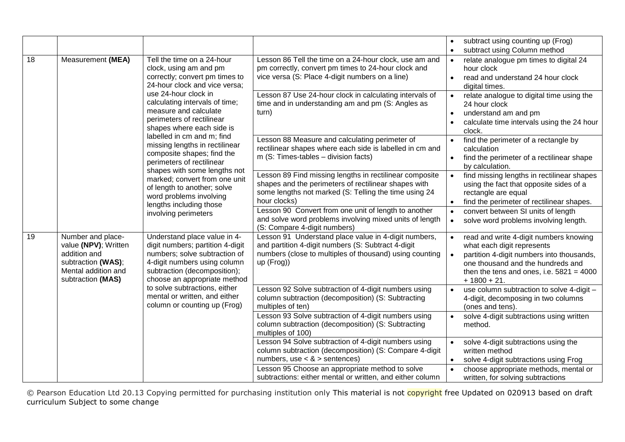|    |                                                                                                                             |                                                                                                                                                                                                                                                                               |                                                                                                                                                                                                                             | subtract using counting up (Frog)<br>subtract using Column method                                                                                                                                                                               |
|----|-----------------------------------------------------------------------------------------------------------------------------|-------------------------------------------------------------------------------------------------------------------------------------------------------------------------------------------------------------------------------------------------------------------------------|-----------------------------------------------------------------------------------------------------------------------------------------------------------------------------------------------------------------------------|-------------------------------------------------------------------------------------------------------------------------------------------------------------------------------------------------------------------------------------------------|
| 18 | Measurement (MEA)                                                                                                           | Tell the time on a 24-hour<br>clock, using am and pm<br>correctly; convert pm times to<br>24-hour clock and vice versa;<br>use 24-hour clock in                                                                                                                               | Lesson 86 Tell the time on a 24-hour clock, use am and<br>pm correctly, convert pm times to 24-hour clock and<br>vice versa (S: Place 4-digit numbers on a line)<br>Lesson 87 Use 24-hour clock in calculating intervals of | relate analogue pm times to digital 24<br>hour clock<br>read and understand 24 hour clock<br>$\bullet$<br>digital times.<br>relate analogue to digital time using the                                                                           |
|    |                                                                                                                             | calculating intervals of time;<br>measure and calculate<br>perimeters of rectilinear<br>shapes where each side is                                                                                                                                                             | time and in understanding am and pm (S: Angles as<br>turn)                                                                                                                                                                  | 24 hour clock<br>understand am and pm<br>calculate time intervals using the 24 hour<br>clock.                                                                                                                                                   |
|    |                                                                                                                             | labelled in cm and m; find<br>missing lengths in rectilinear<br>composite shapes; find the<br>perimeters of rectilinear<br>shapes with some lengths not<br>marked; convert from one unit<br>of length to another; solve<br>word problems involving<br>lengths including those | Lesson 88 Measure and calculating perimeter of<br>rectilinear shapes where each side is labelled in cm and<br>m (S: Times-tables - division facts)                                                                          | find the perimeter of a rectangle by<br>calculation<br>find the perimeter of a rectilinear shape<br>by calculation.                                                                                                                             |
|    |                                                                                                                             |                                                                                                                                                                                                                                                                               | Lesson 89 Find missing lengths in rectilinear composite<br>shapes and the perimeters of rectilinear shapes with<br>some lengths not marked (S: Telling the time using 24<br>hour clocks)                                    | find missing lengths in rectilinear shapes<br>$\bullet$<br>using the fact that opposite sides of a<br>rectangle are equal<br>find the perimeter of rectilinear shapes.                                                                          |
|    |                                                                                                                             | involving perimeters                                                                                                                                                                                                                                                          | Lesson 90 Convert from one unit of length to another<br>and solve word problems involving mixed units of length<br>(S: Compare 4-digit numbers)                                                                             | convert between SI units of length<br>solve word problems involving length.<br>$\bullet$                                                                                                                                                        |
| 19 | Number and place-<br>value (NPV); Written<br>addition and<br>subtraction (WAS);<br>Mental addition and<br>subtraction (MAS) | Understand place value in 4-<br>digit numbers; partition 4-digit<br>numbers; solve subtraction of<br>4-digit numbers using column<br>subtraction (decomposition);<br>choose an appropriate method                                                                             | Lesson 91 Understand place value in 4-digit numbers,<br>and partition 4-digit numbers (S: Subtract 4-digit<br>numbers (close to multiples of thousand) using counting<br>up (Frog))                                         | read and write 4-digit numbers knowing<br>$\bullet$<br>what each digit represents<br>partition 4-digit numbers into thousands,<br>$\bullet$<br>one thousand and the hundreds and<br>then the tens and ones, i.e. $5821 = 4000$<br>$+1800 + 21.$ |
|    |                                                                                                                             | to solve subtractions, either<br>mental or written, and either<br>column or counting up (Frog)                                                                                                                                                                                | Lesson 92 Solve subtraction of 4-digit numbers using<br>column subtraction (decomposition) (S: Subtracting<br>multiples of ten)                                                                                             | use column subtraction to solve 4-digit -<br>$\bullet$<br>4-digit, decomposing in two columns<br>(ones and tens).                                                                                                                               |
|    |                                                                                                                             |                                                                                                                                                                                                                                                                               | Lesson 93 Solve subtraction of 4-digit numbers using<br>column subtraction (decomposition) (S: Subtracting<br>multiples of 100)                                                                                             | solve 4-digit subtractions using written<br>$\bullet$<br>method.                                                                                                                                                                                |
|    |                                                                                                                             |                                                                                                                                                                                                                                                                               | Lesson 94 Solve subtraction of 4-digit numbers using<br>column subtraction (decomposition) (S: Compare 4-digit<br>numbers, use $<$ & $>$ sentences)                                                                         | solve 4-digit subtractions using the<br>written method<br>solve 4-digit subtractions using Frog                                                                                                                                                 |
|    |                                                                                                                             |                                                                                                                                                                                                                                                                               | Lesson 95 Choose an appropriate method to solve<br>subtractions: either mental or written, and either column                                                                                                                | choose appropriate methods, mental or<br>written, for solving subtractions                                                                                                                                                                      |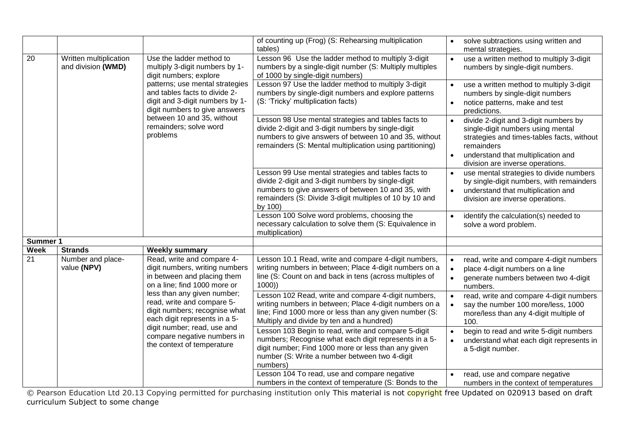|             |                                              |                                                                                                                                      | of counting up (Frog) (S: Rehearsing multiplication<br>tables)                                                                                                                                                                        | solve subtractions using written and<br>mental strategies.                                                                                                                                                     |
|-------------|----------------------------------------------|--------------------------------------------------------------------------------------------------------------------------------------|---------------------------------------------------------------------------------------------------------------------------------------------------------------------------------------------------------------------------------------|----------------------------------------------------------------------------------------------------------------------------------------------------------------------------------------------------------------|
| 20          | Written multiplication<br>and division (WMD) | Use the ladder method to<br>multiply 3-digit numbers by 1-<br>digit numbers; explore                                                 | Lesson 96 Use the ladder method to multiply 3-digit<br>numbers by a single-digit number (S: Multiply multiples<br>of 1000 by single-digit numbers)                                                                                    | use a written method to multiply 3-digit<br>$\bullet$<br>numbers by single-digit numbers.                                                                                                                      |
|             |                                              | patterns; use mental strategies<br>and tables facts to divide 2-<br>digit and 3-digit numbers by 1-<br>digit numbers to give answers | Lesson 97 Use the ladder method to multiply 3-digit<br>numbers by single-digit numbers and explore patterns<br>(S: 'Tricky' multiplication facts)                                                                                     | use a written method to multiply 3-digit<br>numbers by single-digit numbers<br>notice patterns, make and test<br>predictions.                                                                                  |
|             |                                              | between 10 and 35, without<br>remainders; solve word<br>problems                                                                     | Lesson 98 Use mental strategies and tables facts to<br>divide 2-digit and 3-digit numbers by single-digit<br>numbers to give answers of between 10 and 35, without<br>remainders (S: Mental multiplication using partitioning)        | divide 2-digit and 3-digit numbers by<br>single-digit numbers using mental<br>strategies and times-tables facts, without<br>remainders<br>understand that multiplication and<br>$\bullet$                      |
|             |                                              |                                                                                                                                      | Lesson 99 Use mental strategies and tables facts to<br>divide 2-digit and 3-digit numbers by single-digit<br>numbers to give answers of between 10 and 35, with<br>remainders (S: Divide 3-digit multiples of 10 by 10 and<br>by 100) | division are inverse operations.<br>use mental strategies to divide numbers<br>by single-digit numbers, with remainders<br>understand that multiplication and<br>$\bullet$<br>division are inverse operations. |
|             |                                              |                                                                                                                                      | Lesson 100 Solve word problems, choosing the<br>necessary calculation to solve them (S: Equivalence in<br>multiplication)                                                                                                             | identify the calculation(s) needed to<br>solve a word problem.                                                                                                                                                 |
| Summer 1    |                                              |                                                                                                                                      |                                                                                                                                                                                                                                       |                                                                                                                                                                                                                |
| <b>Week</b> | <b>Strands</b>                               | <b>Weekly summary</b>                                                                                                                |                                                                                                                                                                                                                                       |                                                                                                                                                                                                                |
| 21          | Number and place-<br>value (NPV)             | Read, write and compare 4-<br>digit numbers, writing numbers<br>in between and placing them<br>on a line; find 1000 more or          | Lesson 10.1 Read, write and compare 4-digit numbers,<br>writing numbers in between; Place 4-digit numbers on a<br>line (S: Count on and back in tens (across multiples of<br>1000)                                                    | read, write and compare 4-digit numbers<br>$\bullet$<br>place 4-digit numbers on a line<br>generate numbers between two 4-digit<br>numbers.                                                                    |
|             |                                              | less than any given number;<br>read, write and compare 5-<br>digit numbers; recognise what<br>each digit represents in a 5-          | Lesson 102 Read, write and compare 4-digit numbers,<br>writing numbers in between; Place 4-digit numbers on a<br>line; Find 1000 more or less than any given number (S:<br>Multiply and divide by ten and a hundred)                  | read, write and compare 4-digit numbers<br>$\bullet$<br>say the number 100 more/less, 1000<br>more/less than any 4-digit multiple of<br>100.                                                                   |
|             |                                              | digit number; read, use and<br>compare negative numbers in<br>the context of temperature                                             | Lesson 103 Begin to read, write and compare 5-digit<br>numbers; Recognise what each digit represents in a 5-<br>digit number; Find 1000 more or less than any given<br>number (S: Write a number between two 4-digit<br>numbers)      | begin to read and write 5-digit numbers<br>understand what each digit represents in<br>a 5-digit number.                                                                                                       |
|             |                                              |                                                                                                                                      | Lesson 104 To read, use and compare negative<br>numbers in the context of temperature (S: Bonds to the                                                                                                                                | read, use and compare negative<br>$\bullet$<br>numbers in the context of temperatures                                                                                                                          |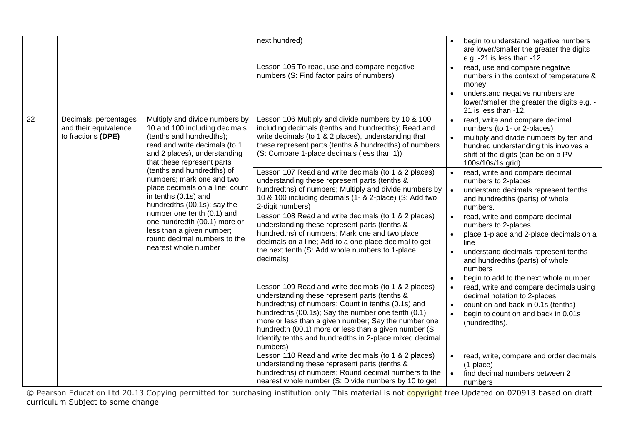|    |                                                                      |                                                                                                                                                                                                                                                                                                                                                                                                               | next hundred)                                                                                                                                                                                                                                                                                                                                                                                                                                                                                                                                                                                                                         |                        | begin to understand negative numbers<br>are lower/smaller the greater the digits<br>e.g. -21 is less than -12.                                                                                                                                                                                                                                                                                                             |
|----|----------------------------------------------------------------------|---------------------------------------------------------------------------------------------------------------------------------------------------------------------------------------------------------------------------------------------------------------------------------------------------------------------------------------------------------------------------------------------------------------|---------------------------------------------------------------------------------------------------------------------------------------------------------------------------------------------------------------------------------------------------------------------------------------------------------------------------------------------------------------------------------------------------------------------------------------------------------------------------------------------------------------------------------------------------------------------------------------------------------------------------------------|------------------------|----------------------------------------------------------------------------------------------------------------------------------------------------------------------------------------------------------------------------------------------------------------------------------------------------------------------------------------------------------------------------------------------------------------------------|
|    |                                                                      |                                                                                                                                                                                                                                                                                                                                                                                                               | Lesson 105 To read, use and compare negative<br>numbers (S: Find factor pairs of numbers)                                                                                                                                                                                                                                                                                                                                                                                                                                                                                                                                             | $\bullet$              | read, use and compare negative<br>numbers in the context of temperature &<br>money<br>understand negative numbers are<br>lower/smaller the greater the digits e.g. -                                                                                                                                                                                                                                                       |
| 22 | Decimals, percentages<br>and their equivalence<br>to fractions (DPE) | Multiply and divide numbers by<br>10 and 100 including decimals<br>(tenths and hundredths);<br>read and write decimals (to 1<br>and 2 places), understanding<br>that these represent parts<br>(tenths and hundredths) of<br>numbers; mark one and two<br>place decimals on a line; count<br>in tenths (0.1s) and<br>hundredths (00.1s); say the<br>number one tenth (0.1) and<br>one hundredth (00.1) more or | Lesson 106 Multiply and divide numbers by 10 & 100<br>including decimals (tenths and hundredths); Read and<br>write decimals (to 1 & 2 places), understanding that<br>these represent parts (tenths & hundredths) of numbers<br>(S: Compare 1-place decimals (less than 1))<br>Lesson 107 Read and write decimals (to 1 & 2 places)<br>understanding these represent parts (tenths &<br>hundredths) of numbers; Multiply and divide numbers by<br>10 & 100 including decimals (1- & 2-place) (S: Add two<br>2-digit numbers)<br>Lesson 108 Read and write decimals (to 1 & 2 places)<br>understanding these represent parts (tenths & | $\bullet$<br>$\bullet$ | 21 is less than -12.<br>read, write and compare decimal<br>numbers (to 1- or 2-places)<br>multiply and divide numbers by ten and<br>hundred understanding this involves a<br>shift of the digits (can be on a PV<br>100s/10s/1s grid).<br>read, write and compare decimal<br>numbers to 2-places<br>understand decimals represent tenths<br>and hundredths (parts) of whole<br>numbers.<br>read, write and compare decimal |
|    |                                                                      | less than a given number;<br>round decimal numbers to the<br>nearest whole number                                                                                                                                                                                                                                                                                                                             | hundredths) of numbers; Mark one and two place<br>decimals on a line; Add to a one place decimal to get<br>the next tenth (S: Add whole numbers to 1-place<br>decimals)                                                                                                                                                                                                                                                                                                                                                                                                                                                               |                        | numbers to 2-places<br>place 1-place and 2-place decimals on a<br>line<br>understand decimals represent tenths<br>and hundredths (parts) of whole<br>numbers<br>begin to add to the next whole number.                                                                                                                                                                                                                     |
|    |                                                                      |                                                                                                                                                                                                                                                                                                                                                                                                               | Lesson 109 Read and write decimals (to 1 & 2 places)<br>understanding these represent parts (tenths &<br>hundredths) of numbers; Count in tenths (0.1s) and<br>hundredths (00.1s); Say the number one tenth (0.1)<br>more or less than a given number; Say the number one<br>hundredth (00.1) more or less than a given number (S:<br>Identify tenths and hundredths in 2-place mixed decimal<br>numbers)                                                                                                                                                                                                                             | $\bullet$              | read, write and compare decimals using<br>decimal notation to 2-places<br>count on and back in 0.1s (tenths)<br>begin to count on and back in 0.01s<br>(hundredths).                                                                                                                                                                                                                                                       |
|    |                                                                      |                                                                                                                                                                                                                                                                                                                                                                                                               | Lesson 110 Read and write decimals (to 1 & 2 places)<br>understanding these represent parts (tenths &<br>hundredths) of numbers; Round decimal numbers to the<br>nearest whole number (S: Divide numbers by 10 to get                                                                                                                                                                                                                                                                                                                                                                                                                 | $\bullet$              | read, write, compare and order decimals<br>$(1$ -place $)$<br>find decimal numbers between 2<br>numbers                                                                                                                                                                                                                                                                                                                    |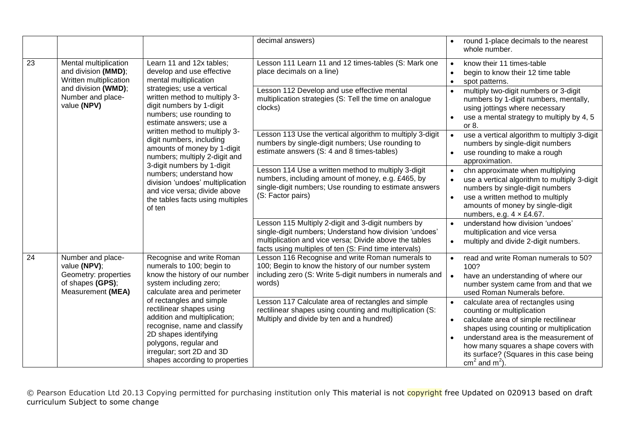|    |                                                                                                    |                                                                                                                                                                                                                                                                                                                                                                                                                                                        | decimal answers)                                                                                                                                                                                                                |                        | round 1-place decimals to the nearest<br>whole number.                                                                                                                                                                                                                                                          |
|----|----------------------------------------------------------------------------------------------------|--------------------------------------------------------------------------------------------------------------------------------------------------------------------------------------------------------------------------------------------------------------------------------------------------------------------------------------------------------------------------------------------------------------------------------------------------------|---------------------------------------------------------------------------------------------------------------------------------------------------------------------------------------------------------------------------------|------------------------|-----------------------------------------------------------------------------------------------------------------------------------------------------------------------------------------------------------------------------------------------------------------------------------------------------------------|
| 23 | Mental multiplication<br>and division (MMD);<br>Written multiplication                             | Learn 11 and 12x tables;<br>develop and use effective<br>mental multiplication                                                                                                                                                                                                                                                                                                                                                                         | Lesson 111 Learn 11 and 12 times-tables (S: Mark one<br>place decimals on a line)                                                                                                                                               | $\bullet$              | know their 11 times-table<br>begin to know their 12 time table<br>spot patterns.                                                                                                                                                                                                                                |
|    | and division (WMD);<br>Number and place-<br>value (NPV)                                            | strategies; use a vertical<br>written method to multiply 3-<br>digit numbers by 1-digit<br>numbers; use rounding to<br>estimate answers; use a<br>written method to multiply 3-<br>digit numbers, including<br>amounts of money by 1-digit<br>numbers; multiply 2-digit and<br>3-digit numbers by 1-digit<br>numbers; understand how<br>division 'undoes' multiplication<br>and vice versa; divide above<br>the tables facts using multiples<br>of ten | Lesson 112 Develop and use effective mental<br>multiplication strategies (S: Tell the time on analogue<br>clocks)                                                                                                               | $\bullet$              | multiply two-digit numbers or 3-digit<br>numbers by 1-digit numbers, mentally,<br>using jottings where necessary<br>use a mental strategy to multiply by 4, 5<br>or 8.                                                                                                                                          |
|    |                                                                                                    |                                                                                                                                                                                                                                                                                                                                                                                                                                                        | Lesson 113 Use the vertical algorithm to multiply 3-digit<br>numbers by single-digit numbers; Use rounding to<br>estimate answers (S: 4 and 8 times-tables)                                                                     | $\bullet$<br>$\bullet$ | use a vertical algorithm to multiply 3-digit<br>numbers by single-digit numbers<br>use rounding to make a rough<br>approximation.                                                                                                                                                                               |
|    |                                                                                                    |                                                                                                                                                                                                                                                                                                                                                                                                                                                        | Lesson 114 Use a written method to multiply 3-digit<br>numbers, including amount of money, e.g. £465, by<br>single-digit numbers; Use rounding to estimate answers<br>(S: Factor pairs)                                         | $\bullet$<br>$\bullet$ | chn approximate when multiplying<br>use a vertical algorithm to multiply 3-digit<br>numbers by single-digit numbers<br>use a written method to multiply<br>amounts of money by single-digit<br>numbers, e.g. $4 \times £4.67$ .                                                                                 |
|    |                                                                                                    |                                                                                                                                                                                                                                                                                                                                                                                                                                                        | Lesson 115 Multiply 2-digit and 3-digit numbers by<br>single-digit numbers; Understand how division 'undoes'<br>multiplication and vice versa; Divide above the tables<br>facts using multiples of ten (S: Find time intervals) | $\bullet$              | understand how division 'undoes'<br>multiplication and vice versa<br>multiply and divide 2-digit numbers.                                                                                                                                                                                                       |
| 24 | Number and place-<br>value (NPV);<br>Geometry: properties<br>of shapes (GPS);<br>Measurement (MEA) | Recognise and write Roman<br>numerals to 100; begin to<br>know the history of our number<br>system including zero;<br>calculate area and perimeter                                                                                                                                                                                                                                                                                                     | Lesson 116 Recognise and write Roman numerals to<br>100; Begin to know the history of our number system<br>including zero (S: Write 5-digit numbers in numerals and<br>words)                                                   |                        | read and write Roman numerals to 50?<br>100?<br>have an understanding of where our<br>number system came from and that we<br>used Roman Numerals before.                                                                                                                                                        |
|    |                                                                                                    | of rectangles and simple<br>rectilinear shapes using<br>addition and multiplication;<br>recognise, name and classify<br>2D shapes identifying<br>polygons, regular and<br>irregular; sort 2D and 3D<br>shapes according to properties                                                                                                                                                                                                                  | Lesson 117 Calculate area of rectangles and simple<br>rectilinear shapes using counting and multiplication (S:<br>Multiply and divide by ten and a hundred)                                                                     |                        | calculate area of rectangles using<br>counting or multiplication<br>calculate area of simple rectilinear<br>shapes using counting or multiplication<br>understand area is the measurement of<br>how many squares a shape covers with<br>its surface? (Squares in this case being<br>cm <sup>2</sup> and $m^2$ ) |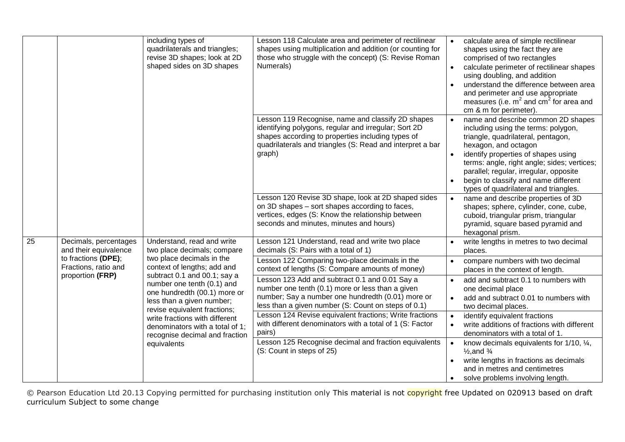|    |                                                                 | including types of<br>quadrilaterals and triangles;<br>revise 3D shapes; look at 2D<br>shaped sides on 3D shapes                                                                                                                                                                                                                          | Lesson 118 Calculate area and perimeter of rectilinear<br>shapes using multiplication and addition (or counting for<br>those who struggle with the concept) (S: Revise Roman<br>Numerals)                                             |                        | calculate area of simple rectilinear<br>shapes using the fact they are<br>comprised of two rectangles<br>calculate perimeter of rectilinear shapes<br>using doubling, and addition<br>understand the difference between area<br>and perimeter and use appropriate<br>measures (i.e. $m^2$ and cm <sup>2</sup> for area and<br>cm & m for perimeter).     |
|----|-----------------------------------------------------------------|-------------------------------------------------------------------------------------------------------------------------------------------------------------------------------------------------------------------------------------------------------------------------------------------------------------------------------------------|---------------------------------------------------------------------------------------------------------------------------------------------------------------------------------------------------------------------------------------|------------------------|----------------------------------------------------------------------------------------------------------------------------------------------------------------------------------------------------------------------------------------------------------------------------------------------------------------------------------------------------------|
|    |                                                                 |                                                                                                                                                                                                                                                                                                                                           | Lesson 119 Recognise, name and classify 2D shapes<br>identifying polygons, regular and irregular; Sort 2D<br>shapes according to properties including types of<br>quadrilaterals and triangles (S: Read and interpret a bar<br>graph) |                        | name and describe common 2D shapes<br>including using the terms: polygon,<br>triangle, quadrilateral, pentagon,<br>hexagon, and octagon<br>identify properties of shapes using<br>terms: angle, right angle; sides; vertices;<br>parallel; regular, irregular, opposite<br>begin to classify and name different<br>types of quadrilateral and triangles. |
|    |                                                                 |                                                                                                                                                                                                                                                                                                                                           | Lesson 120 Revise 3D shape, look at 2D shaped sides<br>on 3D shapes - sort shapes according to faces,<br>vertices, edges (S: Know the relationship between<br>seconds and minutes, minutes and hours)                                 |                        | name and describe properties of 3D<br>shapes; sphere, cylinder, cone, cube,<br>cuboid, triangular prism, triangular<br>pyramid, square based pyramid and<br>hexagonal prism.                                                                                                                                                                             |
| 25 | Decimals, percentages<br>and their equivalence                  | Understand, read and write<br>two place decimals; compare                                                                                                                                                                                                                                                                                 | Lesson 121 Understand, read and write two place<br>decimals (S: Pairs with a total of 1)                                                                                                                                              |                        | write lengths in metres to two decimal<br>places.                                                                                                                                                                                                                                                                                                        |
|    | to fractions (DPE);<br>Fractions, ratio and<br>proportion (FRP) | two place decimals in the<br>context of lengths; add and<br>subtract 0.1 and 00.1; say a<br>number one tenth (0.1) and<br>one hundredth (00.1) more or<br>less than a given number;<br>revise equivalent fractions;<br>write fractions with different<br>denominators with a total of 1;<br>recognise decimal and fraction<br>equivalents | Lesson 122 Comparing two-place decimals in the<br>context of lengths (S: Compare amounts of money)                                                                                                                                    |                        | compare numbers with two decimal<br>places in the context of length.                                                                                                                                                                                                                                                                                     |
|    |                                                                 |                                                                                                                                                                                                                                                                                                                                           | Lesson 123 Add and subtract 0.1 and 0.01 Say a<br>number one tenth (0.1) more or less than a given<br>number; Say a number one hundredth (0.01) more or<br>less than a given number (S: Count on steps of 0.1)                        | $\bullet$<br>$\bullet$ | add and subtract 0.1 to numbers with<br>one decimal place<br>add and subtract 0.01 to numbers with<br>two decimal places.                                                                                                                                                                                                                                |
|    |                                                                 |                                                                                                                                                                                                                                                                                                                                           | Lesson 124 Revise equivalent fractions; Write fractions<br>with different denominators with a total of 1 (S: Factor<br>pairs)                                                                                                         | $\bullet$              | identify equivalent fractions<br>write additions of fractions with different<br>denominators with a total of 1.                                                                                                                                                                                                                                          |
|    |                                                                 |                                                                                                                                                                                                                                                                                                                                           | Lesson 125 Recognise decimal and fraction equivalents<br>(S: Count in steps of 25)                                                                                                                                                    | $\bullet$              | know decimals equivalents for $1/10$ , $\frac{1}{4}$ ,<br>$\frac{1}{2}$ , and $\frac{3}{4}$<br>write lengths in fractions as decimals<br>and in metres and centimetres<br>solve problems involving length.                                                                                                                                               |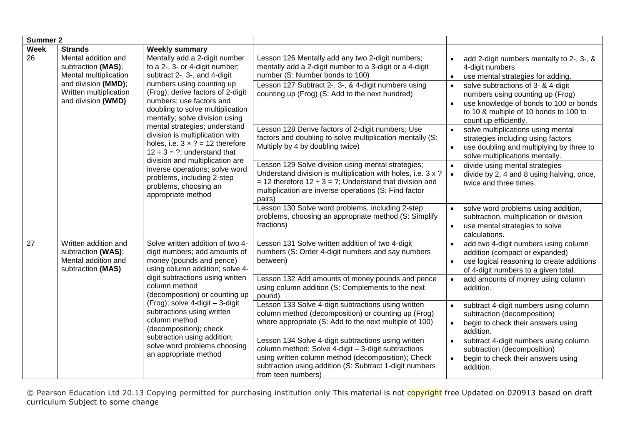|                 | <b>Summer 2</b>                                                                                                                           |                                                                                                                                                                                                                                                                                                                                                                                                                                                                                                                                                                           |                                                                                                                                                                                                                                                          |                                                                                                                                                                                                                                                                              |
|-----------------|-------------------------------------------------------------------------------------------------------------------------------------------|---------------------------------------------------------------------------------------------------------------------------------------------------------------------------------------------------------------------------------------------------------------------------------------------------------------------------------------------------------------------------------------------------------------------------------------------------------------------------------------------------------------------------------------------------------------------------|----------------------------------------------------------------------------------------------------------------------------------------------------------------------------------------------------------------------------------------------------------|------------------------------------------------------------------------------------------------------------------------------------------------------------------------------------------------------------------------------------------------------------------------------|
| <b>Week</b>     | <b>Strands</b>                                                                                                                            | <b>Weekly summary</b>                                                                                                                                                                                                                                                                                                                                                                                                                                                                                                                                                     |                                                                                                                                                                                                                                                          |                                                                                                                                                                                                                                                                              |
| $\overline{26}$ | Mental addition and<br>subtraction (MAS);<br>Mental multiplication<br>and division (MMD);<br>Written multiplication<br>and division (WMD) | Mentally add a 2-digit number<br>to a 2-, 3- or 4-digit number;<br>subtract 2-, 3-, and 4-digit<br>numbers using counting up<br>(Frog); derive factors of 2-digit<br>numbers; use factors and<br>doubling to solve multiplication<br>mentally; solve division using<br>mental strategies; understand<br>division is multiplication with<br>holes, i.e. $3 \times ? = 12$ therefore<br>$12 \div 3 = ?$ ; understand that<br>division and multiplication are<br>inverse operations; solve word<br>problems, including 2-step<br>problems, choosing an<br>appropriate method | Lesson 126 Mentally add any two 2-digit numbers;<br>mentally add a 2-digit number to a 3-digit or a 4-digit<br>number (S: Number bonds to 100)<br>Lesson 127 Subtract 2-, 3-, & 4-digit numbers using<br>counting up (Frog) (S: Add to the next hundred) | add 2-digit numbers mentally to 2-, 3-, &<br>$\bullet$<br>4-digit numbers<br>use mental strategies for adding.<br>solve subtractions of 3- & 4-digit<br>numbers using counting up (Frog)<br>use knowledge of bonds to 100 or bonds<br>to 10 & multiple of 10 bonds to 100 to |
|                 |                                                                                                                                           |                                                                                                                                                                                                                                                                                                                                                                                                                                                                                                                                                                           | Lesson 128 Derive factors of 2-digit numbers; Use<br>factors and doubling to solve multiplication mentally (S:<br>Multiply by 4 by doubling twice)                                                                                                       | count up efficiently.<br>solve multiplications using mental<br>$\bullet$<br>strategies including using factors<br>use doubling and multiplying by three to<br>$\bullet$<br>solve multiplications mentally.                                                                   |
|                 |                                                                                                                                           |                                                                                                                                                                                                                                                                                                                                                                                                                                                                                                                                                                           | Lesson 129 Solve division using mental strategies;<br>Understand division is multiplication with holes, i.e. 3 x ?<br>= 12 therefore $12 \div 3 = ?$ ; Understand that division and<br>multiplication are inverse operations (S: Find factor<br>pairs)   | divide using mental strategies<br>$\bullet$<br>divide by 2, 4 and 8 using halving, once,<br>$\bullet$<br>twice and three times.                                                                                                                                              |
|                 |                                                                                                                                           |                                                                                                                                                                                                                                                                                                                                                                                                                                                                                                                                                                           | Lesson 130 Solve word problems, including 2-step<br>problems, choosing an appropriate method (S: Simplify<br>fractions)                                                                                                                                  | solve word problems using addition,<br>$\bullet$<br>subtraction, multiplication or division<br>use mental strategies to solve<br>$\bullet$<br>calculations.                                                                                                                  |
| 27              | Written addition and<br>subtraction (WAS);<br>Mental addition and<br>subtraction (MAS)                                                    | Solve written addition of two 4-<br>digit numbers; add amounts of<br>money (pounds and pence)<br>using column addition; solve 4-<br>digit subtractions using written<br>column method<br>(decomposition) or counting up<br>(Frog); solve 4-digit - 3-digit<br>subtractions using written<br>column method<br>(decomposition); check<br>subtraction using addition;<br>solve word problems choosing<br>an appropriate method                                                                                                                                               | Lesson 131 Solve written addition of two 4-digit<br>numbers (S: Order 4-digit numbers and say numbers<br>between)                                                                                                                                        | add two 4-digit numbers using column<br>$\bullet$<br>addition (compact or expanded)<br>use logical reasoning to create additions<br>$\bullet$<br>of 4-digit numbers to a given total.                                                                                        |
|                 |                                                                                                                                           |                                                                                                                                                                                                                                                                                                                                                                                                                                                                                                                                                                           | Lesson 132 Add amounts of money pounds and pence<br>using column addition (S: Complements to the next<br>pound)                                                                                                                                          | add amounts of money using column<br>addition.                                                                                                                                                                                                                               |
|                 |                                                                                                                                           |                                                                                                                                                                                                                                                                                                                                                                                                                                                                                                                                                                           | Lesson 133 Solve 4-digit subtractions using written<br>column method (decomposition) or counting up (Frog)<br>where appropriate (S: Add to the next multiple of 100)                                                                                     | subtract 4-digit numbers using column<br>subtraction (decomposition)<br>begin to check their answers using<br>$\bullet$<br>addition.                                                                                                                                         |
|                 |                                                                                                                                           |                                                                                                                                                                                                                                                                                                                                                                                                                                                                                                                                                                           | Lesson 134 Solve 4-digit subtractions using written<br>column method; Solve 4-digit - 3-digit subtractions<br>using written column method (decomposition); Check<br>subtraction using addition (S: Subtract 1-digit numbers<br>from teen numbers)        | subtract 4-digit numbers using column<br>$\bullet$<br>subtraction (decomposition)<br>begin to check their answers using<br>$\bullet$<br>addition.                                                                                                                            |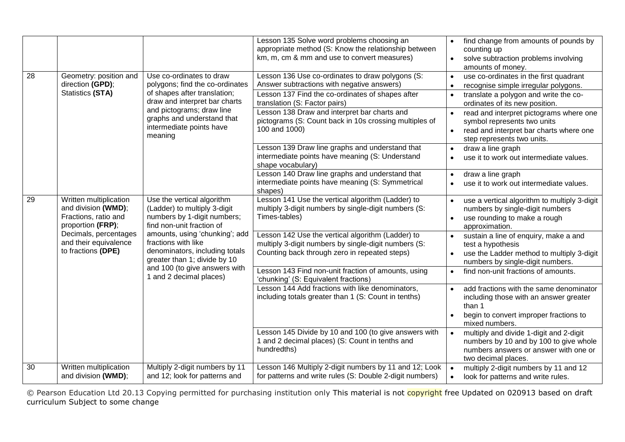|    |                                                                                                                                                                    |                                                                                                                                                                                                                                                                                                               | Lesson 135 Solve word problems choosing an<br>appropriate method (S: Know the relationship between<br>km, m, cm & mm and use to convert measures)                                                                                                                                                                                                                                                                                                                                                                                                                                                                                         | find change from amounts of pounds by<br>$\bullet$<br>counting up<br>solve subtraction problems involving<br>$\bullet$<br>amounts of money.                                                                                                                                                                                                                                                                                                                                                                                                                                                                                                             |
|----|--------------------------------------------------------------------------------------------------------------------------------------------------------------------|---------------------------------------------------------------------------------------------------------------------------------------------------------------------------------------------------------------------------------------------------------------------------------------------------------------|-------------------------------------------------------------------------------------------------------------------------------------------------------------------------------------------------------------------------------------------------------------------------------------------------------------------------------------------------------------------------------------------------------------------------------------------------------------------------------------------------------------------------------------------------------------------------------------------------------------------------------------------|---------------------------------------------------------------------------------------------------------------------------------------------------------------------------------------------------------------------------------------------------------------------------------------------------------------------------------------------------------------------------------------------------------------------------------------------------------------------------------------------------------------------------------------------------------------------------------------------------------------------------------------------------------|
| 28 | Geometry: position and<br>direction (GPD);<br>Statistics (STA)                                                                                                     | Use co-ordinates to draw<br>polygons; find the co-ordinates<br>of shapes after translation;<br>draw and interpret bar charts<br>and pictograms; draw line<br>graphs and understand that<br>intermediate points have<br>meaning                                                                                | Lesson 136 Use co-ordinates to draw polygons (S:<br>Answer subtractions with negative answers)<br>Lesson 137 Find the co-ordinates of shapes after<br>translation (S: Factor pairs)<br>Lesson 138 Draw and interpret bar charts and<br>pictograms (S: Count back in 10s crossing multiples of<br>100 and 1000)<br>Lesson 139 Draw line graphs and understand that<br>intermediate points have meaning (S: Understand<br>shape vocabulary)<br>Lesson 140 Draw line graphs and understand that<br>intermediate points have meaning (S: Symmetrical                                                                                          | use co-ordinates in the first quadrant<br>$\bullet$<br>recognise simple irregular polygons.<br>translate a polygon and write the co-<br>ordinates of its new position.<br>read and interpret pictograms where one<br>$\bullet$<br>symbol represents two units<br>read and interpret bar charts where one<br>$\bullet$<br>step represents two units.<br>draw a line graph<br>use it to work out intermediate values.<br>draw a line graph<br>use it to work out intermediate values.                                                                                                                                                                     |
| 29 | Written multiplication<br>and division (WMD);<br>Fractions, ratio and<br>proportion (FRP);<br>Decimals, percentages<br>and their equivalence<br>to fractions (DPE) | Use the vertical algorithm<br>(Ladder) to multiply 3-digit<br>numbers by 1-digit numbers;<br>find non-unit fraction of<br>amounts, using 'chunking'; add<br>fractions with like<br>denominators, including totals<br>greater than 1; divide by 10<br>and 100 (to give answers with<br>1 and 2 decimal places) | shapes)<br>Lesson 141 Use the vertical algorithm (Ladder) to<br>multiply 3-digit numbers by single-digit numbers (S:<br>Times-tables)<br>Lesson 142 Use the vertical algorithm (Ladder) to<br>multiply 3-digit numbers by single-digit numbers (S:<br>Counting back through zero in repeated steps)<br>Lesson 143 Find non-unit fraction of amounts, using<br>'chunking' (S: Equivalent fractions)<br>Lesson 144 Add fractions with like denominators,<br>including totals greater than 1 (S: Count in tenths)<br>Lesson 145 Divide by 10 and 100 (to give answers with<br>1 and 2 decimal places) (S: Count in tenths and<br>hundredths) | use a vertical algorithm to multiply 3-digit<br>numbers by single-digit numbers<br>use rounding to make a rough<br>$\bullet$<br>approximation.<br>sustain a line of enquiry, make a and<br>$\bullet$<br>test a hypothesis<br>use the Ladder method to multiply 3-digit<br>numbers by single-digit numbers.<br>find non-unit fractions of amounts.<br>$\bullet$<br>add fractions with the same denominator<br>including those with an answer greater<br>than 1<br>begin to convert improper fractions to<br>mixed numbers.<br>multiply and divide 1-digit and 2-digit<br>numbers by 10 and by 100 to give whole<br>numbers answers or answer with one or |
| 30 | Written multiplication<br>and division (WMD);                                                                                                                      | Multiply 2-digit numbers by 11<br>and 12; look for patterns and                                                                                                                                                                                                                                               | Lesson 146 Multiply 2-digit numbers by 11 and 12; Look<br>for patterns and write rules (S: Double 2-digit numbers)                                                                                                                                                                                                                                                                                                                                                                                                                                                                                                                        | two decimal places.<br>multiply 2-digit numbers by 11 and 12<br>$\bullet$<br>look for patterns and write rules.<br>$\bullet$                                                                                                                                                                                                                                                                                                                                                                                                                                                                                                                            |